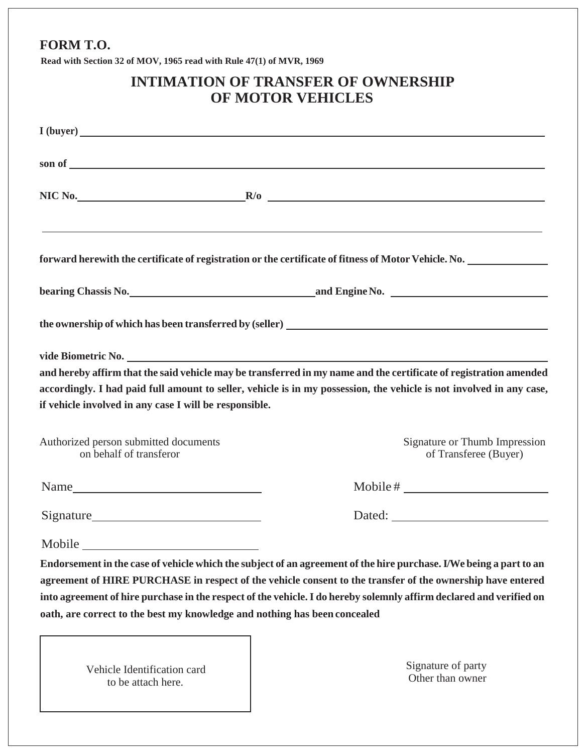## **FORM T.O.**

**Read with Section 32 of MOV, 1965 read with Rule 47(1) of MVR, 1969**

|                                                                           | <b>INTIMATION OF TRANSFER OF OWNERSHIP</b><br>OF MOTOR VEHICLES                                                                                                                                                                                                                                                                                         |
|---------------------------------------------------------------------------|---------------------------------------------------------------------------------------------------------------------------------------------------------------------------------------------------------------------------------------------------------------------------------------------------------------------------------------------------------|
|                                                                           |                                                                                                                                                                                                                                                                                                                                                         |
|                                                                           |                                                                                                                                                                                                                                                                                                                                                         |
|                                                                           | $NIC No.$ R/0                                                                                                                                                                                                                                                                                                                                           |
|                                                                           | <u> 1989 - Johann Stoff, amerikansk politiker (* 1989)</u><br>forward herewith the certificate of registration or the certificate of fitness of Motor Vehicle. No.                                                                                                                                                                                      |
|                                                                           | bearing Chassis No. 1999 and Engine No. 2008 and Engine No.                                                                                                                                                                                                                                                                                             |
|                                                                           |                                                                                                                                                                                                                                                                                                                                                         |
| if vehicle involved in any case I will be responsible.                    | and hereby affirm that the said vehicle may be transferred in my name and the certificate of registration amended<br>accordingly. I had paid full amount to seller, vehicle is in my possession, the vehicle is not involved in any case,                                                                                                               |
| Authorized person submitted documents<br>on behalf of transferor          | Signature or Thumb Impression<br>of Transferee (Buyer)                                                                                                                                                                                                                                                                                                  |
|                                                                           | $\text{Mobile} \# \_$                                                                                                                                                                                                                                                                                                                                   |
|                                                                           |                                                                                                                                                                                                                                                                                                                                                         |
| Mobile                                                                    |                                                                                                                                                                                                                                                                                                                                                         |
| oath, are correct to the best my knowledge and nothing has been concealed | Endorsement in the case of vehicle which the subject of an agreement of the hire purchase. I/We being a part to an<br>agreement of HIRE PURCHASE in respect of the vehicle consent to the transfer of the ownership have entered<br>into agreement of hire purchase in the respect of the vehicle. I do hereby solemnly affirm declared and verified on |
| Vehicle Identification card                                               | Signature of party                                                                                                                                                                                                                                                                                                                                      |

to be attach here.

Other than owner